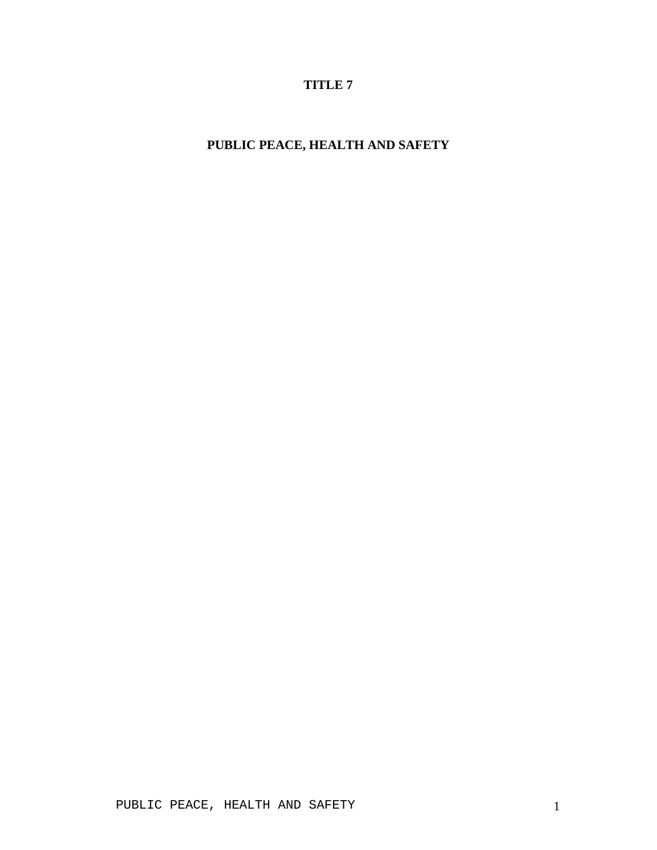# **TITLE 7**

# **PUBLIC PEACE, HEALTH AND SAFETY**

PUBLIC PEACE, HEALTH AND SAFETY 1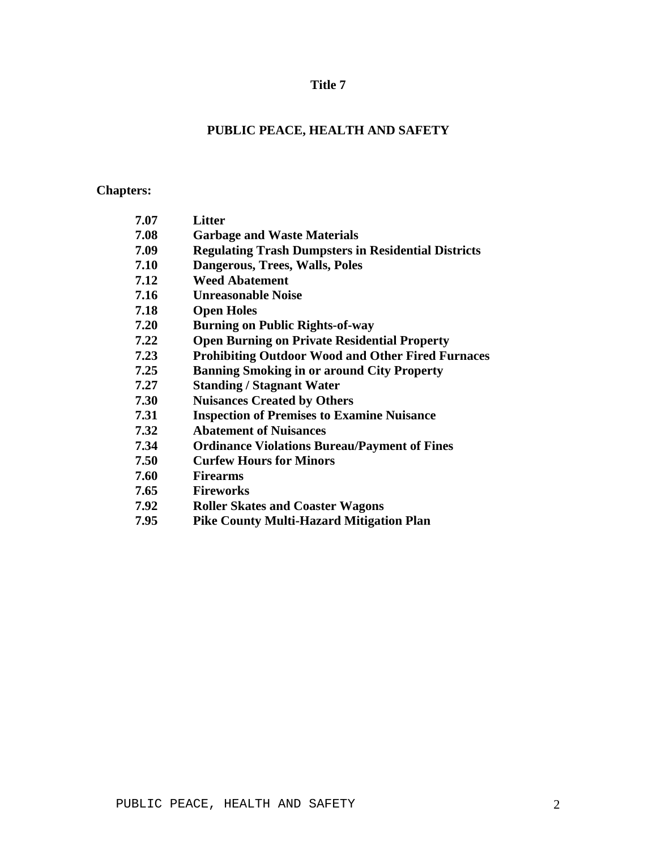# **Title 7**

# **PUBLIC PEACE, HEALTH AND SAFETY**

# **Chapters:**

| 7.07 | Litter                                                     |
|------|------------------------------------------------------------|
| 7.08 | <b>Garbage and Waste Materials</b>                         |
| 7.09 | <b>Regulating Trash Dumpsters in Residential Districts</b> |
| 7.10 | Dangerous, Trees, Walls, Poles                             |
| 7.12 | <b>Weed Abatement</b>                                      |
| 7.16 | <b>Unreasonable Noise</b>                                  |
| 7.18 | <b>Open Holes</b>                                          |
| 7.20 | <b>Burning on Public Rights-of-way</b>                     |
| 7.22 | <b>Open Burning on Private Residential Property</b>        |
| 7.23 | <b>Prohibiting Outdoor Wood and Other Fired Furnaces</b>   |
| 7.25 | <b>Banning Smoking in or around City Property</b>          |
| 7.27 | <b>Standing / Stagnant Water</b>                           |
| 7.30 | <b>Nuisances Created by Others</b>                         |
| 7.31 | <b>Inspection of Premises to Examine Nuisance</b>          |
| 7.32 | <b>Abatement of Nuisances</b>                              |
| 7.34 | <b>Ordinance Violations Bureau/Payment of Fines</b>        |
| 7.50 | <b>Curfew Hours for Minors</b>                             |
| 7.60 | <b>Firearms</b>                                            |
| 7.65 | <b>Fireworks</b>                                           |
| 7.92 | <b>Roller Skates and Coaster Wagons</b>                    |
| 7.95 | <b>Pike County Multi-Hazard Mitigation Plan</b>            |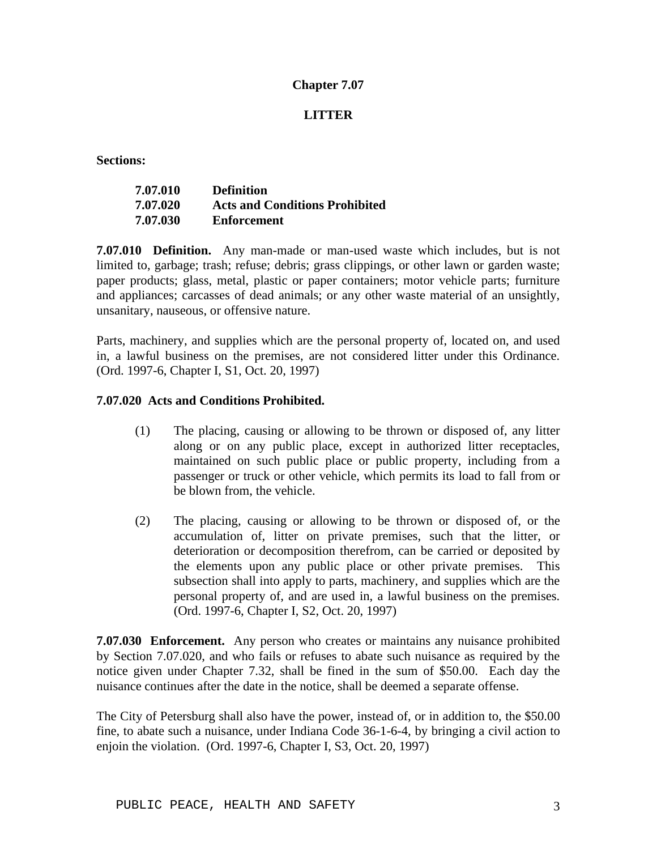# **LITTER**

**Sections:**

| 7.07.010 | <b>Definition</b>                     |
|----------|---------------------------------------|
| 7.07.020 | <b>Acts and Conditions Prohibited</b> |
| 7.07.030 | <b>Enforcement</b>                    |

**7.07.010 Definition.** Any man-made or man-used waste which includes, but is not limited to, garbage; trash; refuse; debris; grass clippings, or other lawn or garden waste; paper products; glass, metal, plastic or paper containers; motor vehicle parts; furniture and appliances; carcasses of dead animals; or any other waste material of an unsightly, unsanitary, nauseous, or offensive nature.

Parts, machinery, and supplies which are the personal property of, located on, and used in, a lawful business on the premises, are not considered litter under this Ordinance. (Ord. 1997-6, Chapter I, S1, Oct. 20, 1997)

## **7.07.020 Acts and Conditions Prohibited.**

- (1) The placing, causing or allowing to be thrown or disposed of, any litter along or on any public place, except in authorized litter receptacles, maintained on such public place or public property, including from a passenger or truck or other vehicle, which permits its load to fall from or be blown from, the vehicle.
- (2) The placing, causing or allowing to be thrown or disposed of, or the accumulation of, litter on private premises, such that the litter, or deterioration or decomposition therefrom, can be carried or deposited by the elements upon any public place or other private premises. This subsection shall into apply to parts, machinery, and supplies which are the personal property of, and are used in, a lawful business on the premises. (Ord. 1997-6, Chapter I, S2, Oct. 20, 1997)

**7.07.030 Enforcement.** Any person who creates or maintains any nuisance prohibited by Section 7.07.020, and who fails or refuses to abate such nuisance as required by the notice given under Chapter 7.32, shall be fined in the sum of \$50.00. Each day the nuisance continues after the date in the notice, shall be deemed a separate offense.

The City of Petersburg shall also have the power, instead of, or in addition to, the \$50.00 fine, to abate such a nuisance, under Indiana Code 36-1-6-4, by bringing a civil action to enjoin the violation. (Ord. 1997-6, Chapter I, S3, Oct. 20, 1997)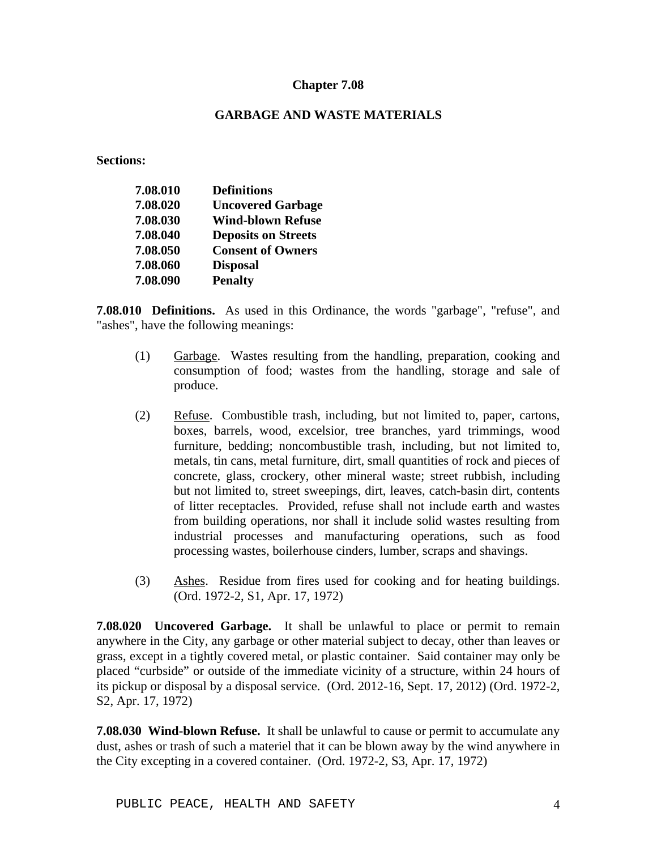## **GARBAGE AND WASTE MATERIALS**

**Sections:**

| 7.08.010 | <b>Definitions</b>         |
|----------|----------------------------|
| 7.08.020 | <b>Uncovered Garbage</b>   |
| 7.08.030 | <b>Wind-blown Refuse</b>   |
| 7.08.040 | <b>Deposits on Streets</b> |
| 7.08.050 | <b>Consent of Owners</b>   |
| 7.08.060 | <b>Disposal</b>            |
| 7.08.090 | <b>Penalty</b>             |

**7.08.010 Definitions.** As used in this Ordinance, the words "garbage", "refuse", and "ashes", have the following meanings:

- (1) Garbage. Wastes resulting from the handling, preparation, cooking and consumption of food; wastes from the handling, storage and sale of produce.
- (2) Refuse. Combustible trash, including, but not limited to, paper, cartons, boxes, barrels, wood, excelsior, tree branches, yard trimmings, wood furniture, bedding; noncombustible trash, including, but not limited to, metals, tin cans, metal furniture, dirt, small quantities of rock and pieces of concrete, glass, crockery, other mineral waste; street rubbish, including but not limited to, street sweepings, dirt, leaves, catch-basin dirt, contents of litter receptacles. Provided, refuse shall not include earth and wastes from building operations, nor shall it include solid wastes resulting from industrial processes and manufacturing operations, such as food processing wastes, boilerhouse cinders, lumber, scraps and shavings.
- (3) Ashes. Residue from fires used for cooking and for heating buildings. (Ord. 1972-2, S1, Apr. 17, 1972)

**7.08.020 Uncovered Garbage.** It shall be unlawful to place or permit to remain anywhere in the City, any garbage or other material subject to decay, other than leaves or grass, except in a tightly covered metal, or plastic container. Said container may only be placed "curbside" or outside of the immediate vicinity of a structure, within 24 hours of its pickup or disposal by a disposal service. (Ord. 2012-16, Sept. 17, 2012) (Ord. 1972-2, S2, Apr. 17, 1972)

**7.08.030 Wind-blown Refuse.** It shall be unlawful to cause or permit to accumulate any dust, ashes or trash of such a materiel that it can be blown away by the wind anywhere in the City excepting in a covered container. (Ord. 1972-2, S3, Apr. 17, 1972)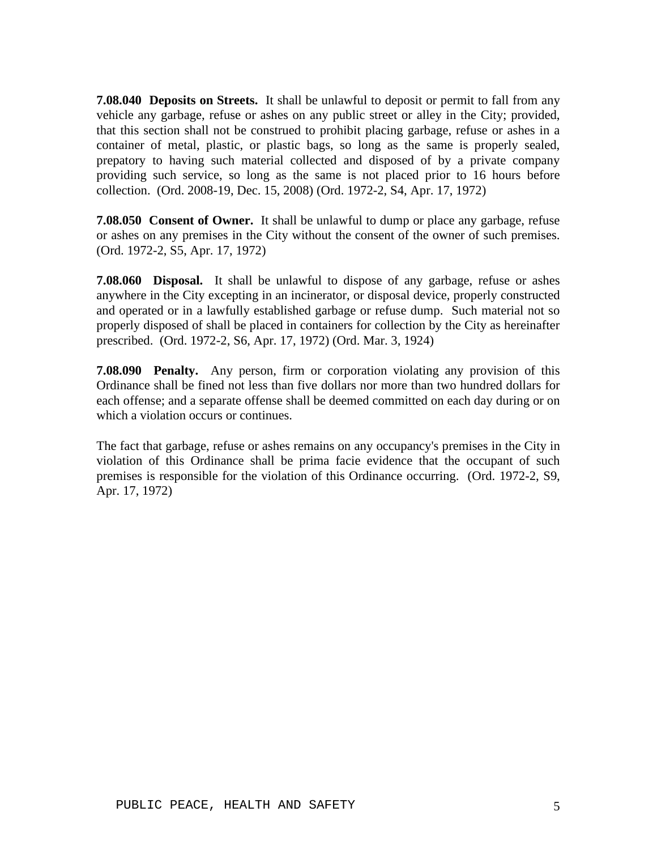**7.08.040 Deposits on Streets.** It shall be unlawful to deposit or permit to fall from any vehicle any garbage, refuse or ashes on any public street or alley in the City; provided, that this section shall not be construed to prohibit placing garbage, refuse or ashes in a container of metal, plastic, or plastic bags, so long as the same is properly sealed, prepatory to having such material collected and disposed of by a private company providing such service, so long as the same is not placed prior to 16 hours before collection. (Ord. 2008-19, Dec. 15, 2008) (Ord. 1972-2, S4, Apr. 17, 1972)

**7.08.050 Consent of Owner.** It shall be unlawful to dump or place any garbage, refuse or ashes on any premises in the City without the consent of the owner of such premises. (Ord. 1972-2, S5, Apr. 17, 1972)

**7.08.060 Disposal.** It shall be unlawful to dispose of any garbage, refuse or ashes anywhere in the City excepting in an incinerator, or disposal device, properly constructed and operated or in a lawfully established garbage or refuse dump. Such material not so properly disposed of shall be placed in containers for collection by the City as hereinafter prescribed. (Ord. 1972-2, S6, Apr. 17, 1972) (Ord. Mar. 3, 1924)

**7.08.090 Penalty.** Any person, firm or corporation violating any provision of this Ordinance shall be fined not less than five dollars nor more than two hundred dollars for each offense; and a separate offense shall be deemed committed on each day during or on which a violation occurs or continues.

The fact that garbage, refuse or ashes remains on any occupancy's premises in the City in violation of this Ordinance shall be prima facie evidence that the occupant of such premises is responsible for the violation of this Ordinance occurring. (Ord. 1972-2, S9, Apr. 17, 1972)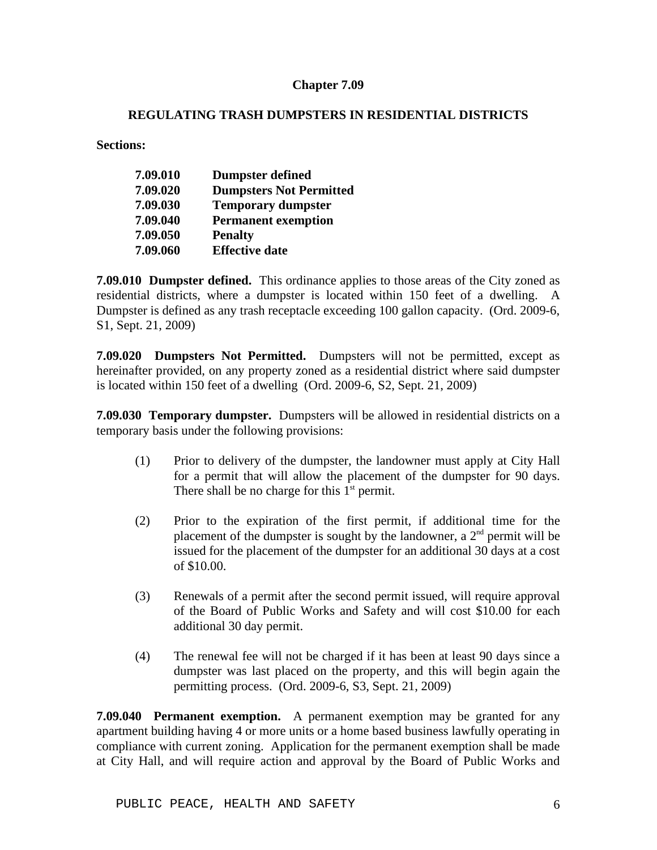## **REGULATING TRASH DUMPSTERS IN RESIDENTIAL DISTRICTS**

**Sections:**

| 7.09.010 | <b>Dumpster defined</b>        |
|----------|--------------------------------|
| 7.09.020 | <b>Dumpsters Not Permitted</b> |
| 7.09.030 | <b>Temporary dumpster</b>      |
| 7.09.040 | <b>Permanent exemption</b>     |
| 7.09.050 | <b>Penalty</b>                 |
| 7.09.060 | <b>Effective date</b>          |

**7.09.010 Dumpster defined.** This ordinance applies to those areas of the City zoned as residential districts, where a dumpster is located within 150 feet of a dwelling. A Dumpster is defined as any trash receptacle exceeding 100 gallon capacity. (Ord. 2009-6, S1, Sept. 21, 2009)

**7.09.020 Dumpsters Not Permitted.** Dumpsters will not be permitted, except as hereinafter provided, on any property zoned as a residential district where said dumpster is located within 150 feet of a dwelling (Ord. 2009-6, S2, Sept. 21, 2009)

**7.09.030 Temporary dumpster.** Dumpsters will be allowed in residential districts on a temporary basis under the following provisions:

- (1) Prior to delivery of the dumpster, the landowner must apply at City Hall for a permit that will allow the placement of the dumpster for 90 days. There shall be no charge for this  $1<sup>st</sup>$  permit.
- (2) Prior to the expiration of the first permit, if additional time for the placement of the dumpster is sought by the landowner, a  $2<sup>nd</sup>$  permit will be issued for the placement of the dumpster for an additional 30 days at a cost of \$10.00.
- (3) Renewals of a permit after the second permit issued, will require approval of the Board of Public Works and Safety and will cost \$10.00 for each additional 30 day permit.
- (4) The renewal fee will not be charged if it has been at least 90 days since a dumpster was last placed on the property, and this will begin again the permitting process. (Ord. 2009-6, S3, Sept. 21, 2009)

**7.09.040 Permanent exemption.** A permanent exemption may be granted for any apartment building having 4 or more units or a home based business lawfully operating in compliance with current zoning. Application for the permanent exemption shall be made at City Hall, and will require action and approval by the Board of Public Works and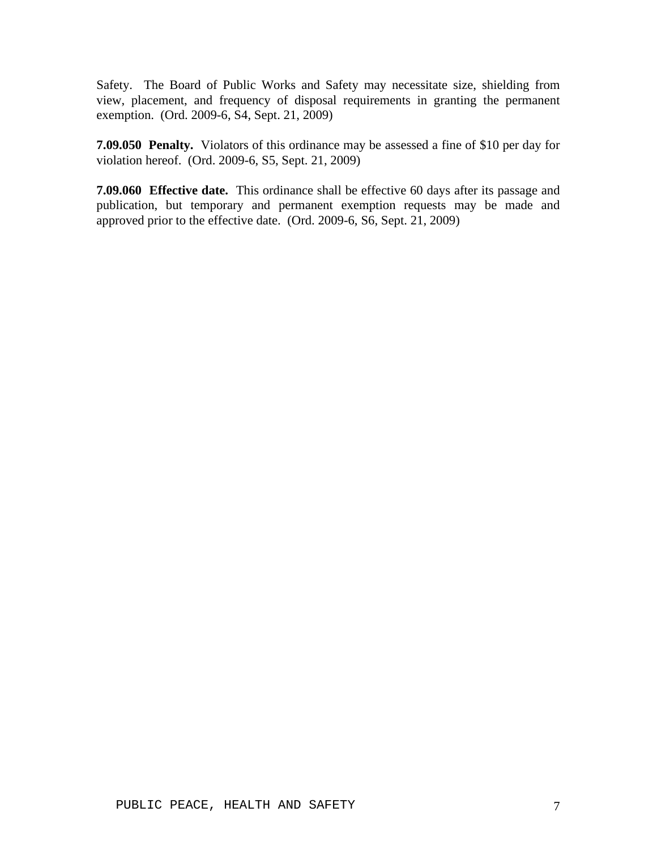Safety. The Board of Public Works and Safety may necessitate size, shielding from view, placement, and frequency of disposal requirements in granting the permanent exemption. (Ord. 2009-6, S4, Sept. 21, 2009)

**7.09.050 Penalty.** Violators of this ordinance may be assessed a fine of \$10 per day for violation hereof. (Ord. 2009-6, S5, Sept. 21, 2009)

**7.09.060 Effective date.** This ordinance shall be effective 60 days after its passage and publication, but temporary and permanent exemption requests may be made and approved prior to the effective date. (Ord. 2009-6, S6, Sept. 21, 2009)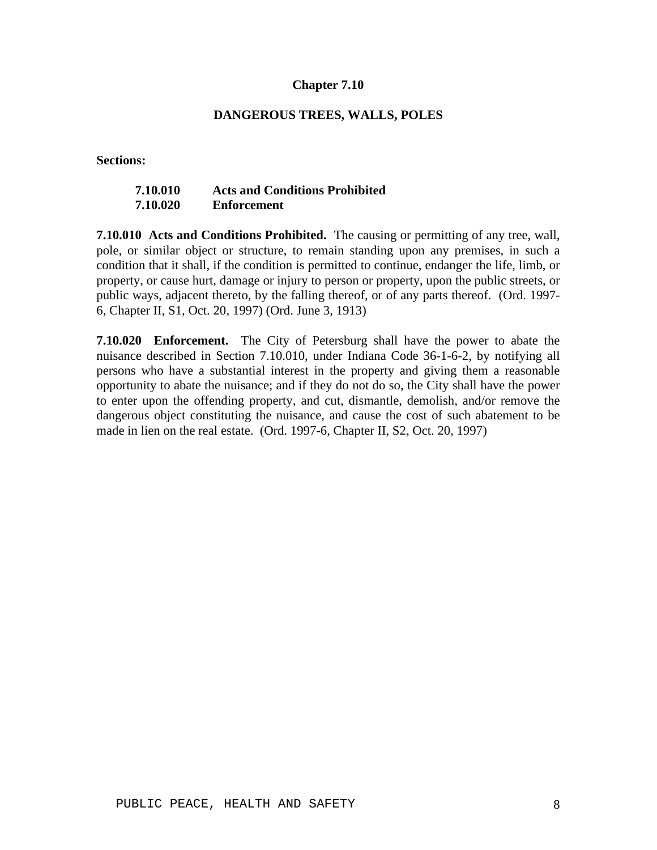#### **DANGEROUS TREES, WALLS, POLES**

**Sections:**

## **7.10.010 Acts and Conditions Prohibited 7.10.020 Enforcement**

**7.10.010 Acts and Conditions Prohibited.** The causing or permitting of any tree, wall, pole, or similar object or structure, to remain standing upon any premises, in such a condition that it shall, if the condition is permitted to continue, endanger the life, limb, or property, or cause hurt, damage or injury to person or property, upon the public streets, or public ways, adjacent thereto, by the falling thereof, or of any parts thereof. (Ord. 1997- 6, Chapter II, S1, Oct. 20, 1997) (Ord. June 3, 1913)

**7.10.020 Enforcement.** The City of Petersburg shall have the power to abate the nuisance described in Section 7.10.010, under Indiana Code 36-1-6-2, by notifying all persons who have a substantial interest in the property and giving them a reasonable opportunity to abate the nuisance; and if they do not do so, the City shall have the power to enter upon the offending property, and cut, dismantle, demolish, and/or remove the dangerous object constituting the nuisance, and cause the cost of such abatement to be made in lien on the real estate. (Ord. 1997-6, Chapter II, S2, Oct. 20, 1997)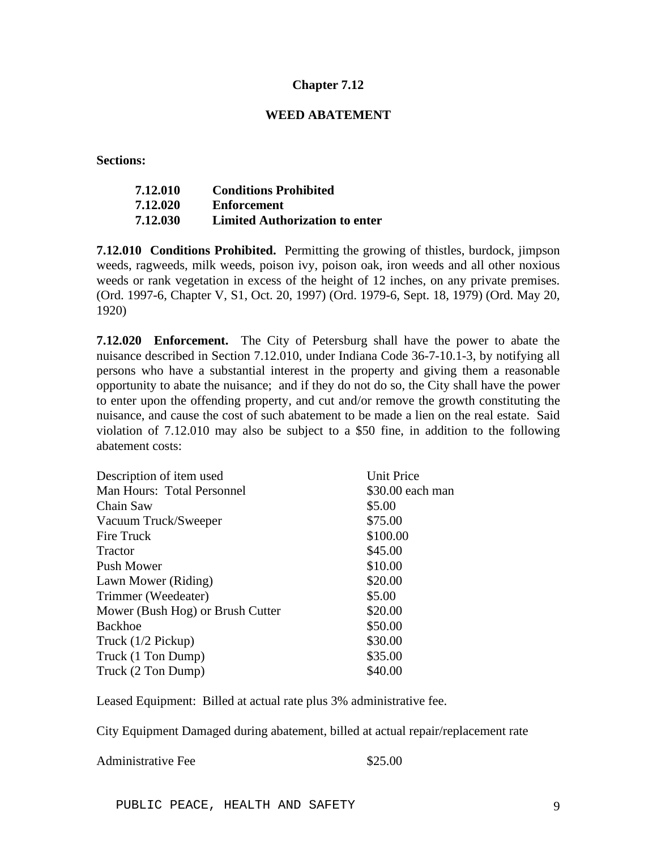#### **WEED ABATEMENT**

**Sections:**

| 7.12.010 | <b>Conditions Prohibited</b>          |
|----------|---------------------------------------|
| 7.12.020 | Enforcement                           |
| 7.12.030 | <b>Limited Authorization to enter</b> |

**7.12.010 Conditions Prohibited.** Permitting the growing of thistles, burdock, jimpson weeds, ragweeds, milk weeds, poison ivy, poison oak, iron weeds and all other noxious weeds or rank vegetation in excess of the height of 12 inches, on any private premises. (Ord. 1997-6, Chapter V, S1, Oct. 20, 1997) (Ord. 1979-6, Sept. 18, 1979) (Ord. May 20, 1920)

**7.12.020 Enforcement.** The City of Petersburg shall have the power to abate the nuisance described in Section 7.12.010, under Indiana Code 36-7-10.1-3, by notifying all persons who have a substantial interest in the property and giving them a reasonable opportunity to abate the nuisance; and if they do not do so, the City shall have the power to enter upon the offending property, and cut and/or remove the growth constituting the nuisance, and cause the cost of such abatement to be made a lien on the real estate. Said violation of 7.12.010 may also be subject to a \$50 fine, in addition to the following abatement costs:

| Description of item used         | <b>Unit Price</b> |
|----------------------------------|-------------------|
| Man Hours: Total Personnel       | \$30.00 each man  |
| Chain Saw                        | \$5.00            |
| Vacuum Truck/Sweeper             | \$75.00           |
| Fire Truck                       | \$100.00          |
| <b>Tractor</b>                   | \$45.00           |
| Push Mower                       | \$10.00           |
| Lawn Mower (Riding)              | \$20.00           |
| Trimmer (Weedeater)              | \$5.00            |
| Mower (Bush Hog) or Brush Cutter | \$20.00           |
| <b>Backhoe</b>                   | \$50.00           |
| Truck (1/2 Pickup)               | \$30.00           |
| Truck (1 Ton Dump)               | \$35.00           |
| Truck (2 Ton Dump)               | \$40.00           |

Leased Equipment: Billed at actual rate plus 3% administrative fee.

City Equipment Damaged during abatement, billed at actual repair/replacement rate

Administrative Fee \$25.00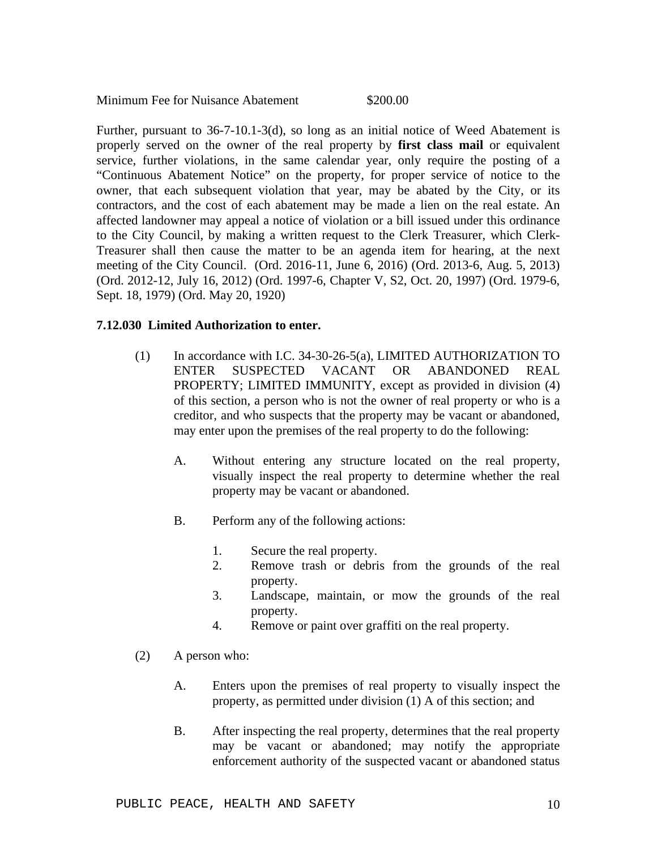Minimum Fee for Nuisance Abatement \$200.00

Further, pursuant to 36-7-10.1-3(d), so long as an initial notice of Weed Abatement is properly served on the owner of the real property by **first class mail** or equivalent service, further violations, in the same calendar year, only require the posting of a "Continuous Abatement Notice" on the property, for proper service of notice to the owner, that each subsequent violation that year, may be abated by the City, or its contractors, and the cost of each abatement may be made a lien on the real estate. An affected landowner may appeal a notice of violation or a bill issued under this ordinance to the City Council, by making a written request to the Clerk Treasurer, which Clerk-Treasurer shall then cause the matter to be an agenda item for hearing, at the next meeting of the City Council. (Ord. 2016-11, June 6, 2016) (Ord. 2013-6, Aug. 5, 2013) (Ord. 2012-12, July 16, 2012) (Ord. 1997-6, Chapter V, S2, Oct. 20, 1997) (Ord. 1979-6, Sept. 18, 1979) (Ord. May 20, 1920)

### **7.12.030 Limited Authorization to enter.**

- (1) In accordance with I.C. 34-30-26-5(a), LIMITED AUTHORIZATION TO ENTER SUSPECTED VACANT OR ABANDONED REAL PROPERTY; LIMITED IMMUNITY, except as provided in division (4) of this section, a person who is not the owner of real property or who is a creditor, and who suspects that the property may be vacant or abandoned, may enter upon the premises of the real property to do the following:
	- A. Without entering any structure located on the real property, visually inspect the real property to determine whether the real property may be vacant or abandoned.
	- B. Perform any of the following actions:
		- 1. Secure the real property.
		- 2. Remove trash or debris from the grounds of the real property.
		- 3. Landscape, maintain, or mow the grounds of the real property.
		- 4. Remove or paint over graffiti on the real property.
- (2) A person who:
	- A. Enters upon the premises of real property to visually inspect the property, as permitted under division (1) A of this section; and
	- B. After inspecting the real property, determines that the real property may be vacant or abandoned; may notify the appropriate enforcement authority of the suspected vacant or abandoned status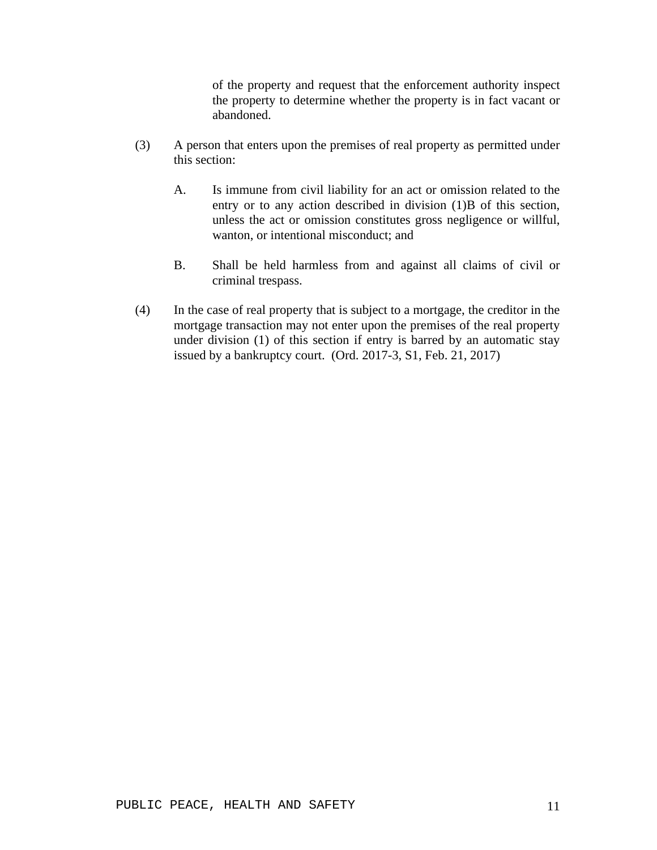of the property and request that the enforcement authority inspect the property to determine whether the property is in fact vacant or abandoned.

- (3) A person that enters upon the premises of real property as permitted under this section:
	- A. Is immune from civil liability for an act or omission related to the entry or to any action described in division (1)B of this section, unless the act or omission constitutes gross negligence or willful, wanton, or intentional misconduct; and
	- B. Shall be held harmless from and against all claims of civil or criminal trespass.
- (4) In the case of real property that is subject to a mortgage, the creditor in the mortgage transaction may not enter upon the premises of the real property under division (1) of this section if entry is barred by an automatic stay issued by a bankruptcy court. (Ord. 2017-3, S1, Feb. 21, 2017)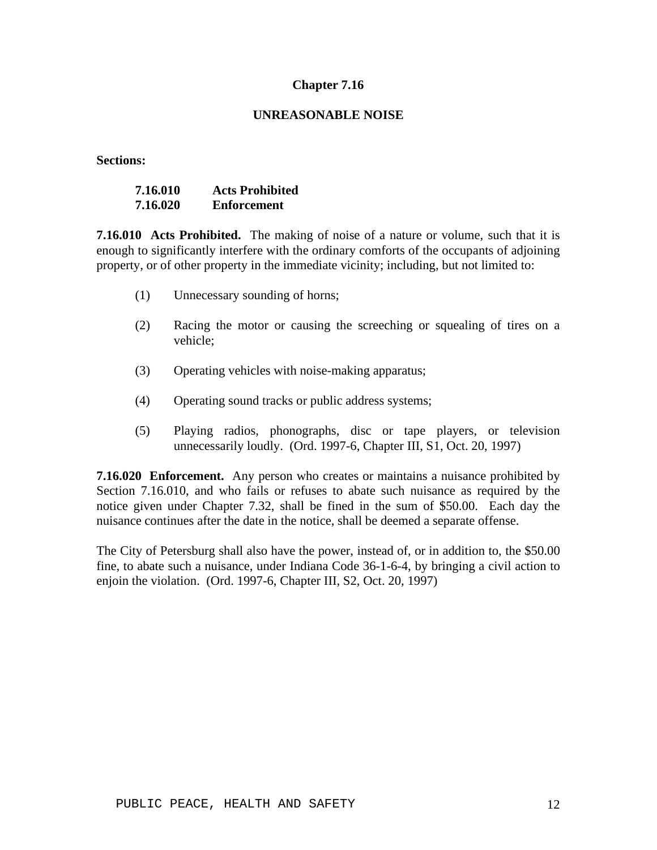### **UNREASONABLE NOISE**

**Sections:**

| 7.16.010 | <b>Acts Prohibited</b> |
|----------|------------------------|
| 7.16.020 | <b>Enforcement</b>     |

**7.16.010 Acts Prohibited.** The making of noise of a nature or volume, such that it is enough to significantly interfere with the ordinary comforts of the occupants of adjoining property, or of other property in the immediate vicinity; including, but not limited to:

- (1) Unnecessary sounding of horns;
- (2) Racing the motor or causing the screeching or squealing of tires on a vehicle;
- (3) Operating vehicles with noise-making apparatus;
- (4) Operating sound tracks or public address systems;
- (5) Playing radios, phonographs, disc or tape players, or television unnecessarily loudly. (Ord. 1997-6, Chapter III, S1, Oct. 20, 1997)

**7.16.020 Enforcement.** Any person who creates or maintains a nuisance prohibited by Section 7.16.010, and who fails or refuses to abate such nuisance as required by the notice given under Chapter 7.32, shall be fined in the sum of \$50.00. Each day the nuisance continues after the date in the notice, shall be deemed a separate offense.

The City of Petersburg shall also have the power, instead of, or in addition to, the \$50.00 fine, to abate such a nuisance, under Indiana Code 36-1-6-4, by bringing a civil action to enjoin the violation. (Ord. 1997-6, Chapter III, S2, Oct. 20, 1997)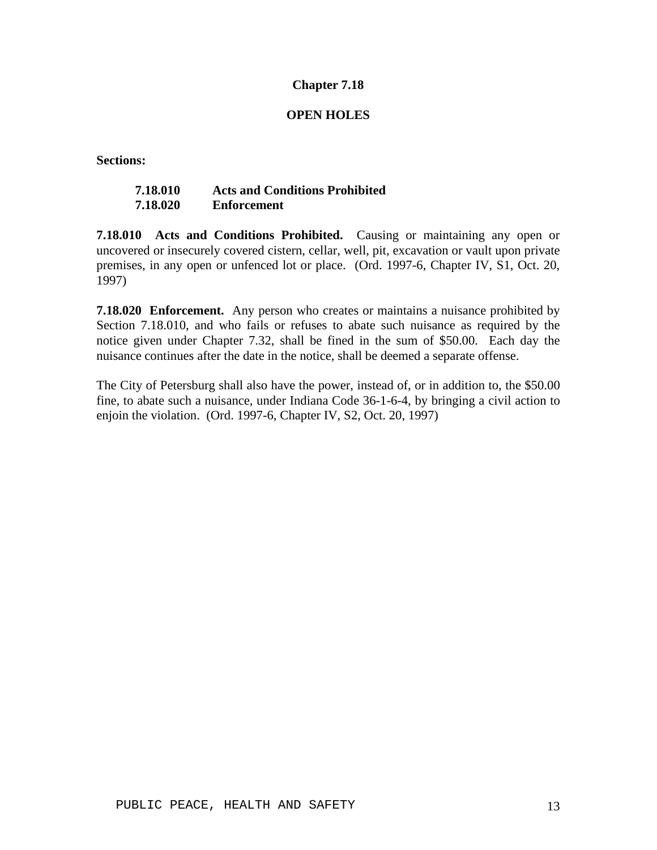### **OPEN HOLES**

**Sections:**

# **7.18.010 Acts and Conditions Prohibited 7.18.020 Enforcement**

**7.18.010 Acts and Conditions Prohibited.** Causing or maintaining any open or uncovered or insecurely covered cistern, cellar, well, pit, excavation or vault upon private premises, in any open or unfenced lot or place. (Ord. 1997-6, Chapter IV, S1, Oct. 20, 1997)

**7.18.020 Enforcement.** Any person who creates or maintains a nuisance prohibited by Section 7.18.010, and who fails or refuses to abate such nuisance as required by the notice given under Chapter 7.32, shall be fined in the sum of \$50.00. Each day the nuisance continues after the date in the notice, shall be deemed a separate offense.

The City of Petersburg shall also have the power, instead of, or in addition to, the \$50.00 fine, to abate such a nuisance, under Indiana Code 36-1-6-4, by bringing a civil action to enjoin the violation. (Ord. 1997-6, Chapter IV, S2, Oct. 20, 1997)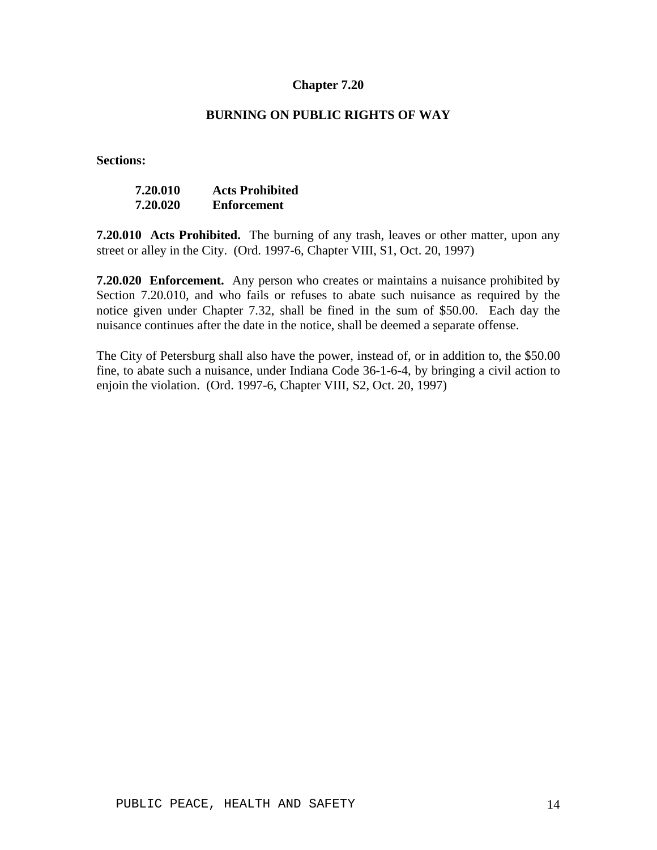## **BURNING ON PUBLIC RIGHTS OF WAY**

**Sections:**

| 7.20.010 | <b>Acts Prohibited</b> |
|----------|------------------------|
| 7.20.020 | Enforcement            |

**7.20.010 Acts Prohibited.** The burning of any trash, leaves or other matter, upon any street or alley in the City. (Ord. 1997-6, Chapter VIII, S1, Oct. 20, 1997)

**7.20.020 Enforcement.** Any person who creates or maintains a nuisance prohibited by Section 7.20.010, and who fails or refuses to abate such nuisance as required by the notice given under Chapter 7.32, shall be fined in the sum of \$50.00. Each day the nuisance continues after the date in the notice, shall be deemed a separate offense.

The City of Petersburg shall also have the power, instead of, or in addition to, the \$50.00 fine, to abate such a nuisance, under Indiana Code 36-1-6-4, by bringing a civil action to enjoin the violation. (Ord. 1997-6, Chapter VIII, S2, Oct. 20, 1997)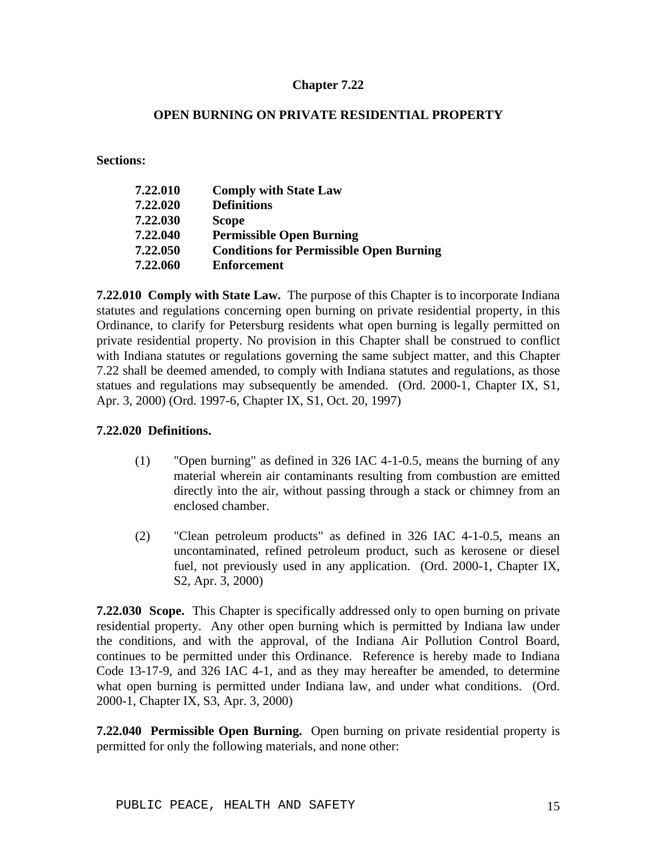## **OPEN BURNING ON PRIVATE RESIDENTIAL PROPERTY**

**Sections:**

| 7.22.010 | <b>Comply with State Law</b>                   |
|----------|------------------------------------------------|
| 7.22.020 | <b>Definitions</b>                             |
| 7.22.030 | <b>Scope</b>                                   |
| 7.22.040 | <b>Permissible Open Burning</b>                |
| 7.22.050 | <b>Conditions for Permissible Open Burning</b> |
| 7.22.060 | <b>Enforcement</b>                             |

**7.22.010 Comply with State Law.** The purpose of this Chapter is to incorporate Indiana statutes and regulations concerning open burning on private residential property, in this Ordinance, to clarify for Petersburg residents what open burning is legally permitted on private residential property. No provision in this Chapter shall be construed to conflict with Indiana statutes or regulations governing the same subject matter, and this Chapter 7.22 shall be deemed amended, to comply with Indiana statutes and regulations, as those statues and regulations may subsequently be amended. (Ord. 2000-1, Chapter IX, S1, Apr. 3, 2000) (Ord. 1997-6, Chapter IX, S1, Oct. 20, 1997)

## **7.22.020 Definitions.**

- (1) "Open burning" as defined in 326 IAC 4-1-0.5, means the burning of any material wherein air contaminants resulting from combustion are emitted directly into the air, without passing through a stack or chimney from an enclosed chamber.
- (2) "Clean petroleum products" as defined in 326 IAC 4-1-0.5, means an uncontaminated, refined petroleum product, such as kerosene or diesel fuel, not previously used in any application. (Ord. 2000-1, Chapter IX, S2, Apr. 3, 2000)

**7.22.030 Scope.** This Chapter is specifically addressed only to open burning on private residential property. Any other open burning which is permitted by Indiana law under the conditions, and with the approval, of the Indiana Air Pollution Control Board, continues to be permitted under this Ordinance. Reference is hereby made to Indiana Code 13-17-9, and 326 IAC 4-1, and as they may hereafter be amended, to determine what open burning is permitted under Indiana law, and under what conditions. (Ord. 2000-1, Chapter IX, S3, Apr. 3, 2000)

**7.22.040 Permissible Open Burning.** Open burning on private residential property is permitted for only the following materials, and none other: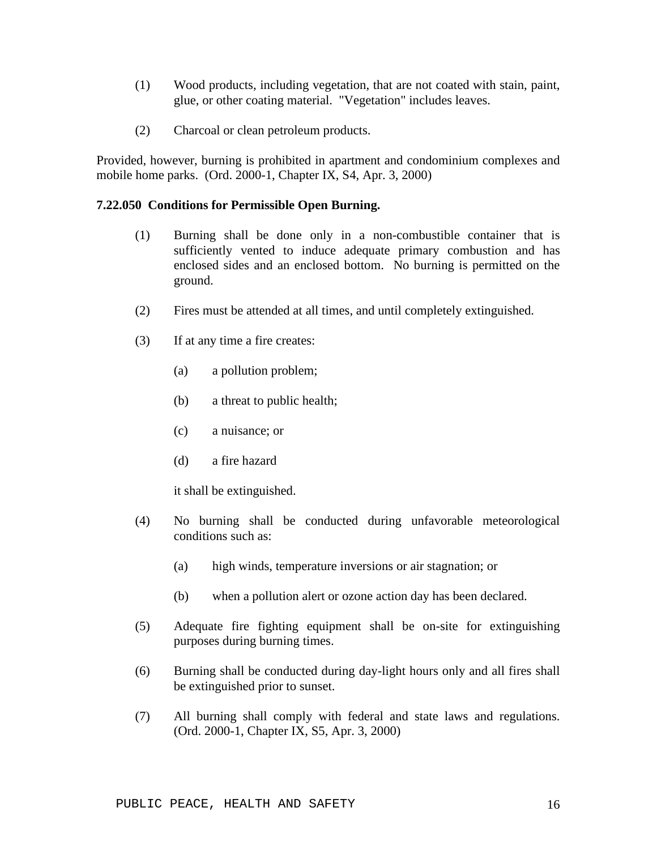- (1) Wood products, including vegetation, that are not coated with stain, paint, glue, or other coating material. "Vegetation" includes leaves.
- (2) Charcoal or clean petroleum products.

Provided, however, burning is prohibited in apartment and condominium complexes and mobile home parks. (Ord. 2000-1, Chapter IX, S4, Apr. 3, 2000)

#### **7.22.050 Conditions for Permissible Open Burning.**

- (1) Burning shall be done only in a non-combustible container that is sufficiently vented to induce adequate primary combustion and has enclosed sides and an enclosed bottom. No burning is permitted on the ground.
- (2) Fires must be attended at all times, and until completely extinguished.
- (3) If at any time a fire creates:
	- (a) a pollution problem;
	- (b) a threat to public health;
	- (c) a nuisance; or
	- (d) a fire hazard

it shall be extinguished.

- (4) No burning shall be conducted during unfavorable meteorological conditions such as:
	- (a) high winds, temperature inversions or air stagnation; or
	- (b) when a pollution alert or ozone action day has been declared.
- (5) Adequate fire fighting equipment shall be on-site for extinguishing purposes during burning times.
- (6) Burning shall be conducted during day-light hours only and all fires shall be extinguished prior to sunset.
- (7) All burning shall comply with federal and state laws and regulations. (Ord. 2000-1, Chapter IX, S5, Apr. 3, 2000)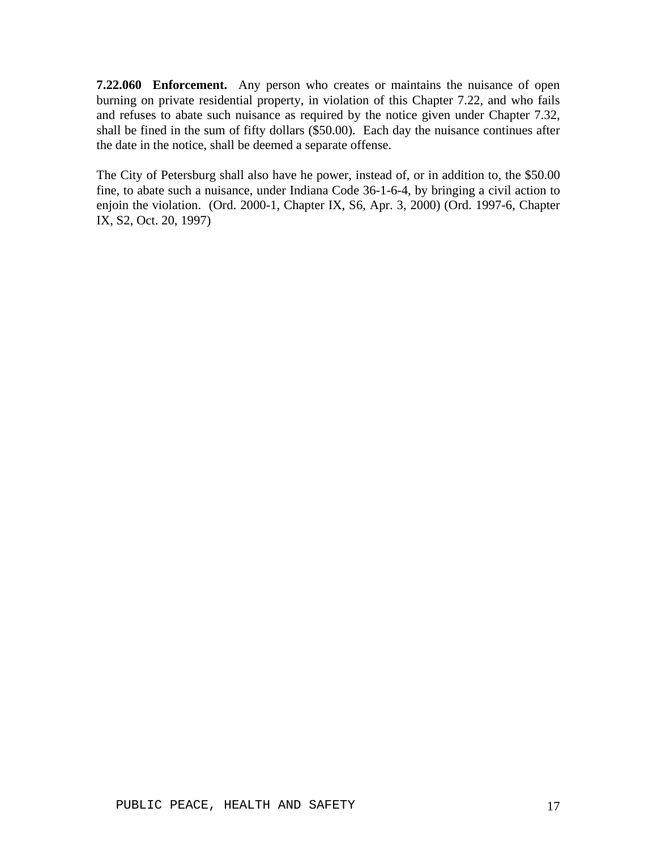**7.22.060 Enforcement.** Any person who creates or maintains the nuisance of open burning on private residential property, in violation of this Chapter 7.22, and who fails and refuses to abate such nuisance as required by the notice given under Chapter 7.32, shall be fined in the sum of fifty dollars (\$50.00). Each day the nuisance continues after the date in the notice, shall be deemed a separate offense.

The City of Petersburg shall also have he power, instead of, or in addition to, the \$50.00 fine, to abate such a nuisance, under Indiana Code 36-1-6-4, by bringing a civil action to enjoin the violation. (Ord. 2000-1, Chapter IX, S6, Apr. 3, 2000) (Ord. 1997-6, Chapter IX, S2, Oct. 20, 1997)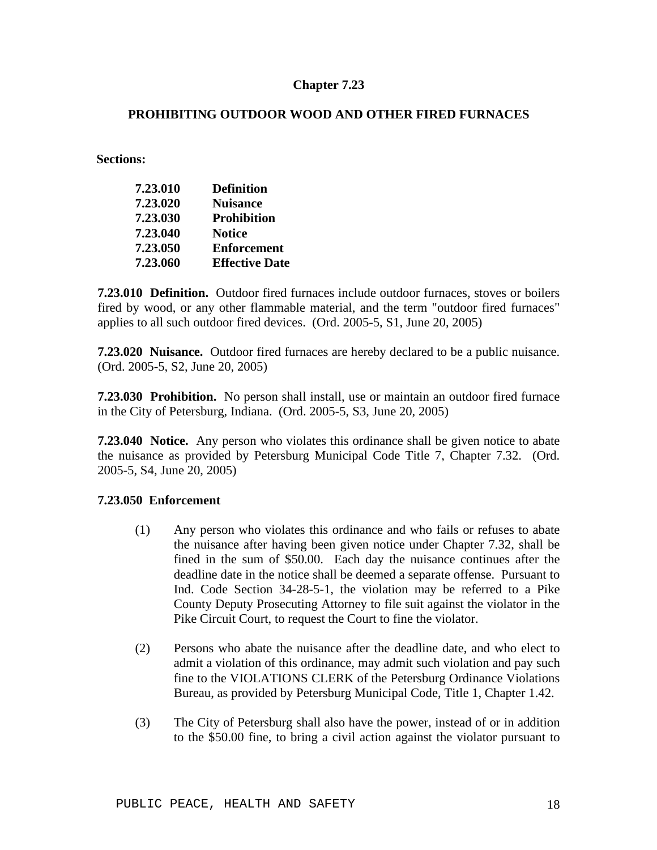## **PROHIBITING OUTDOOR WOOD AND OTHER FIRED FURNACES**

**Sections:**

| 7.23.010 | <b>Definition</b>     |
|----------|-----------------------|
| 7.23.020 | <b>Nuisance</b>       |
| 7.23.030 | <b>Prohibition</b>    |
| 7.23.040 | <b>Notice</b>         |
| 7.23.050 | <b>Enforcement</b>    |
| 7.23.060 | <b>Effective Date</b> |

**7.23.010 Definition.** Outdoor fired furnaces include outdoor furnaces, stoves or boilers fired by wood, or any other flammable material, and the term "outdoor fired furnaces" applies to all such outdoor fired devices. (Ord. 2005-5, S1, June 20, 2005)

**7.23.020 Nuisance.** Outdoor fired furnaces are hereby declared to be a public nuisance. (Ord. 2005-5, S2, June 20, 2005)

**7.23.030 Prohibition.** No person shall install, use or maintain an outdoor fired furnace in the City of Petersburg, Indiana. (Ord. 2005-5, S3, June 20, 2005)

**7.23.040 Notice.** Any person who violates this ordinance shall be given notice to abate the nuisance as provided by Petersburg Municipal Code Title 7, Chapter 7.32. (Ord. 2005-5, S4, June 20, 2005)

#### **7.23.050 Enforcement**

- (1) Any person who violates this ordinance and who fails or refuses to abate the nuisance after having been given notice under Chapter 7.32, shall be fined in the sum of \$50.00. Each day the nuisance continues after the deadline date in the notice shall be deemed a separate offense. Pursuant to Ind. Code Section 34-28-5-1, the violation may be referred to a Pike County Deputy Prosecuting Attorney to file suit against the violator in the Pike Circuit Court, to request the Court to fine the violator.
- (2) Persons who abate the nuisance after the deadline date, and who elect to admit a violation of this ordinance, may admit such violation and pay such fine to the VIOLATIONS CLERK of the Petersburg Ordinance Violations Bureau, as provided by Petersburg Municipal Code, Title 1, Chapter 1.42.
- (3) The City of Petersburg shall also have the power, instead of or in addition to the \$50.00 fine, to bring a civil action against the violator pursuant to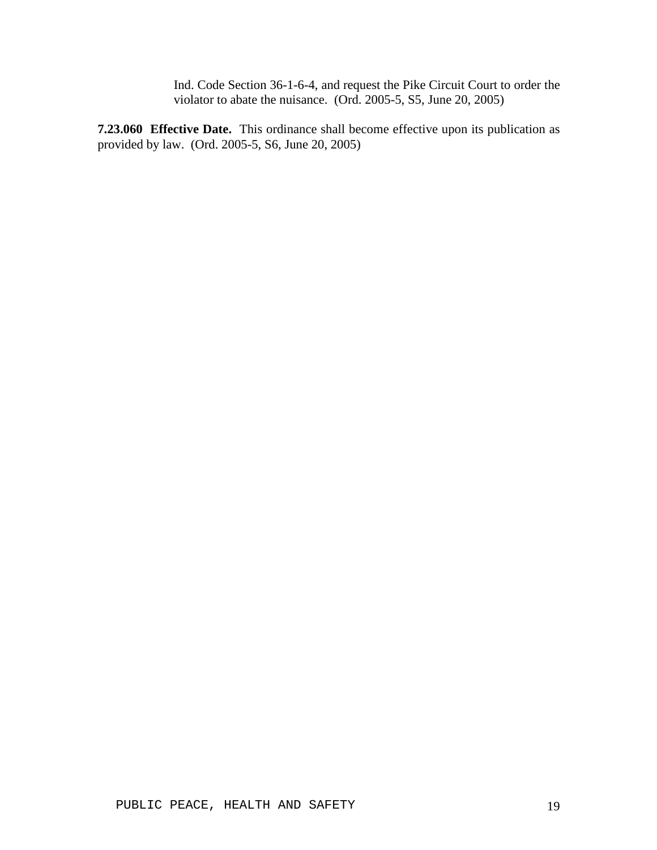Ind. Code Section 36-1-6-4, and request the Pike Circuit Court to order the violator to abate the nuisance. (Ord. 2005-5, S5, June 20, 2005)

**7.23.060 Effective Date.** This ordinance shall become effective upon its publication as provided by law. (Ord. 2005-5, S6, June 20, 2005)

PUBLIC PEACE, HEALTH AND SAFETY 19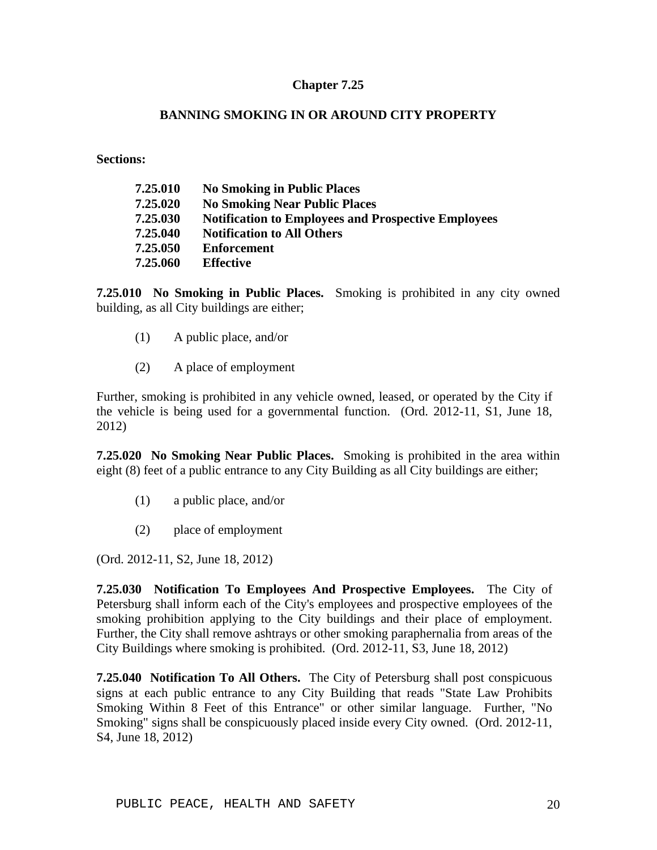## **BANNING SMOKING IN OR AROUND CITY PROPERTY**

**Sections:**

| 7.25.010 | <b>No Smoking in Public Places</b>                         |
|----------|------------------------------------------------------------|
| 7.25.020 | <b>No Smoking Near Public Places</b>                       |
| 7.25.030 | <b>Notification to Employees and Prospective Employees</b> |
| 7.25.040 | <b>Notification to All Others</b>                          |
| 7.25.050 | <b>Enforcement</b>                                         |
| 7.25.060 | <b>Effective</b>                                           |

**7.25.010 No Smoking in Public Places.** Smoking is prohibited in any city owned building, as all City buildings are either;

- (1) A public place, and/or
- (2) A place of employment

Further, smoking is prohibited in any vehicle owned, leased, or operated by the City if the vehicle is being used for a governmental function. (Ord. 2012-11, S1, June 18, 2012)

**7.25.020 No Smoking Near Public Places.** Smoking is prohibited in the area within eight (8) feet of a public entrance to any City Building as all City buildings are either;

- (1) a public place, and/or
- (2) place of employment

(Ord. 2012-11, S2, June 18, 2012)

**7.25.030 Notification To Employees And Prospective Employees.** The City of Petersburg shall inform each of the City's employees and prospective employees of the smoking prohibition applying to the City buildings and their place of employment. Further, the City shall remove ashtrays or other smoking paraphernalia from areas of the City Buildings where smoking is prohibited. (Ord. 2012-11, S3, June 18, 2012)

**7.25.040 Notification To All Others.** The City of Petersburg shall post conspicuous signs at each public entrance to any City Building that reads "State Law Prohibits Smoking Within 8 Feet of this Entrance" or other similar language. Further, "No Smoking" signs shall be conspicuously placed inside every City owned. (Ord. 2012-11, S4, June 18, 2012)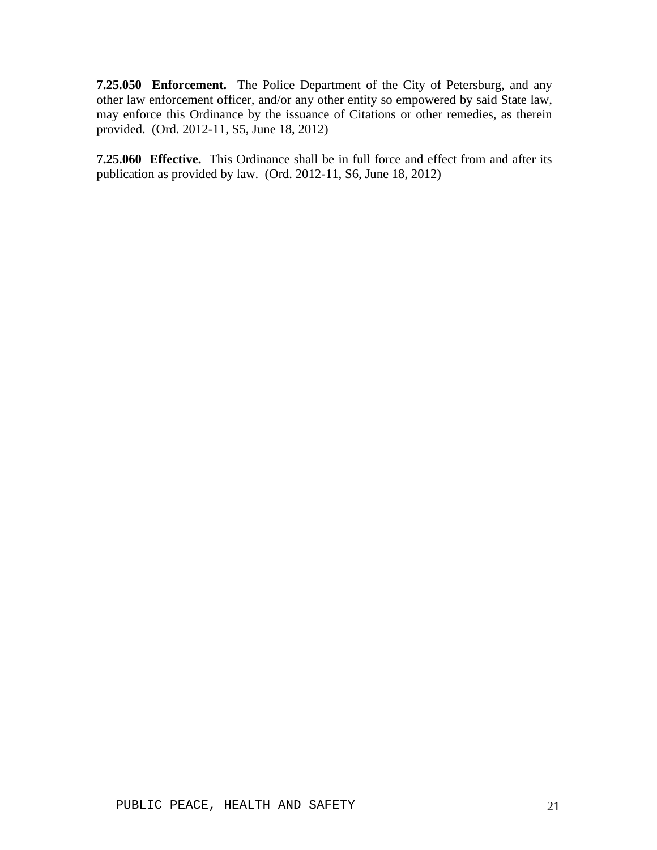**7.25.050 Enforcement.** The Police Department of the City of Petersburg, and any other law enforcement officer, and/or any other entity so empowered by said State law, may enforce this Ordinance by the issuance of Citations or other remedies, as therein provided. (Ord. 2012-11, S5, June 18, 2012)

**7.25.060 Effective.** This Ordinance shall be in full force and effect from and after its publication as provided by law. (Ord. 2012-11, S6, June 18, 2012)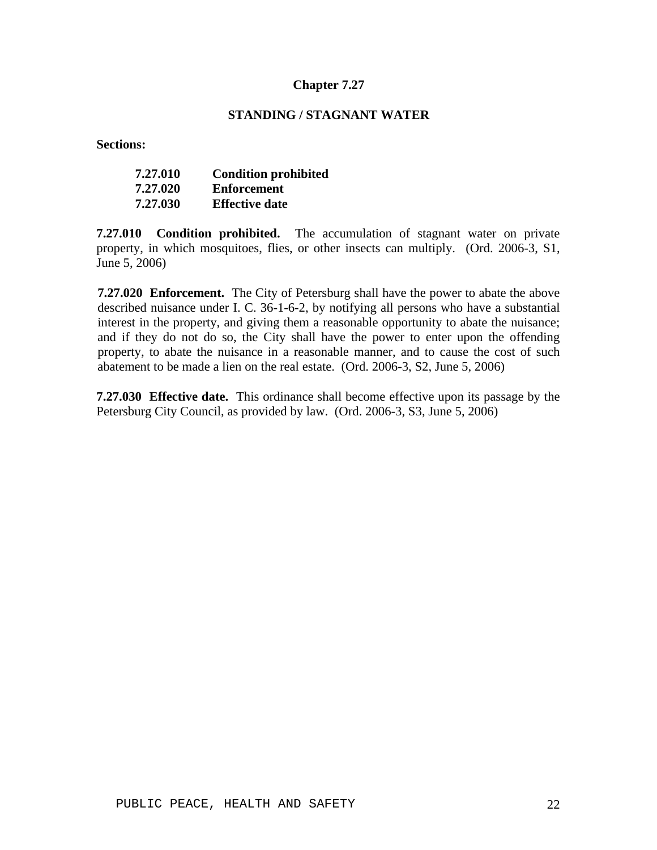## **STANDING / STAGNANT WATER**

**Sections:**

| 7.27.010 | <b>Condition prohibited</b> |
|----------|-----------------------------|
| 7.27.020 | <b>Enforcement</b>          |
| 7.27.030 | <b>Effective date</b>       |

**7.27.010 Condition prohibited.** The accumulation of stagnant water on private property, in which mosquitoes, flies, or other insects can multiply. (Ord. 2006-3, S1, June 5, 2006)

**7.27.020 Enforcement.** The City of Petersburg shall have the power to abate the above described nuisance under I. C. 36-1-6-2, by notifying all persons who have a substantial interest in the property, and giving them a reasonable opportunity to abate the nuisance; and if they do not do so, the City shall have the power to enter upon the offending property, to abate the nuisance in a reasonable manner, and to cause the cost of such abatement to be made a lien on the real estate. (Ord. 2006-3, S2, June 5, 2006)

**7.27.030 Effective date.** This ordinance shall become effective upon its passage by the Petersburg City Council, as provided by law. (Ord. 2006-3, S3, June 5, 2006)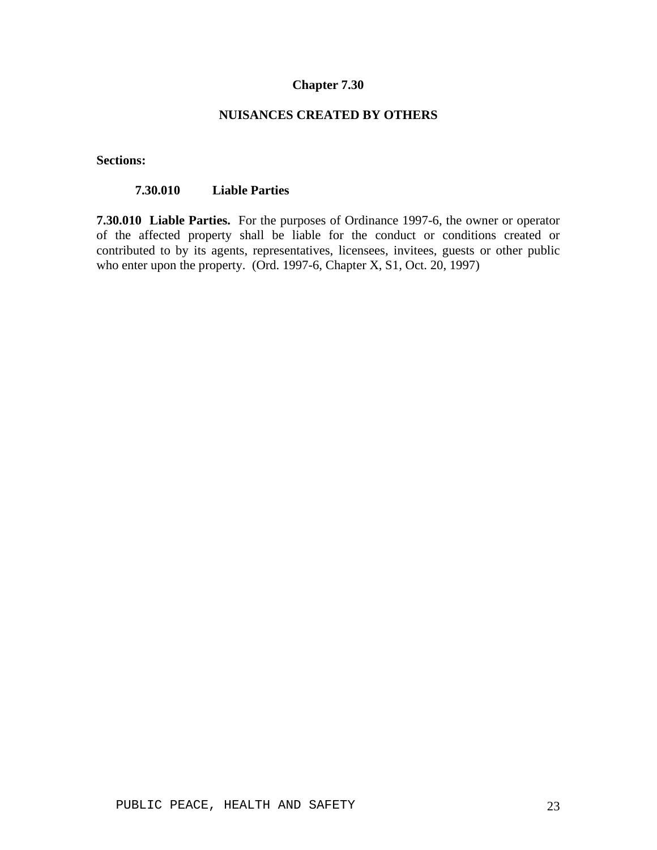### **NUISANCES CREATED BY OTHERS**

**Sections:**

## **7.30.010 Liable Parties**

**7.30.010 Liable Parties.** For the purposes of Ordinance 1997-6, the owner or operator of the affected property shall be liable for the conduct or conditions created or contributed to by its agents, representatives, licensees, invitees, guests or other public who enter upon the property. (Ord. 1997-6, Chapter X, S1, Oct. 20, 1997)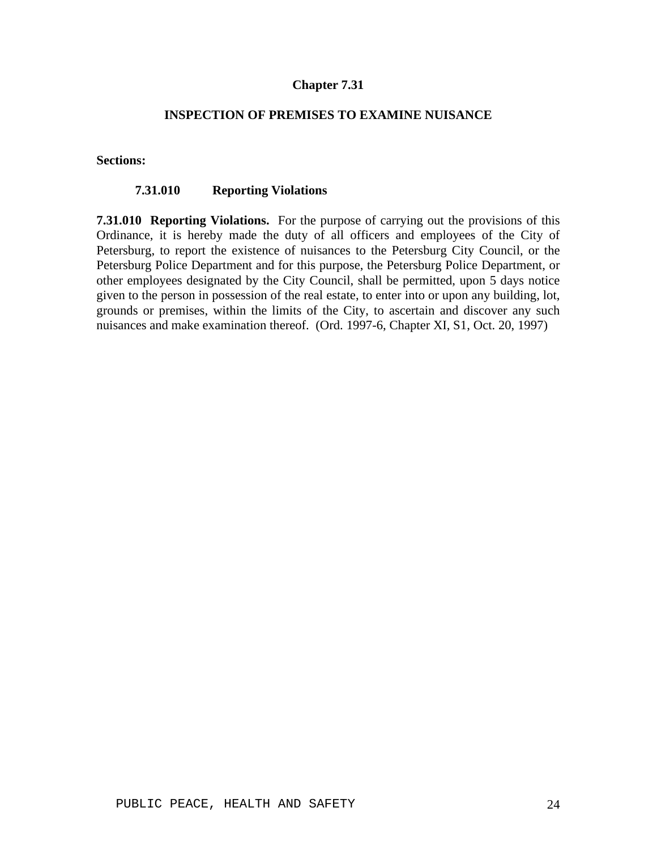## **INSPECTION OF PREMISES TO EXAMINE NUISANCE**

#### **Sections:**

#### **7.31.010 Reporting Violations**

**7.31.010 Reporting Violations.** For the purpose of carrying out the provisions of this Ordinance, it is hereby made the duty of all officers and employees of the City of Petersburg, to report the existence of nuisances to the Petersburg City Council, or the Petersburg Police Department and for this purpose, the Petersburg Police Department, or other employees designated by the City Council, shall be permitted, upon 5 days notice given to the person in possession of the real estate, to enter into or upon any building, lot, grounds or premises, within the limits of the City, to ascertain and discover any such nuisances and make examination thereof. (Ord. 1997-6, Chapter XI, S1, Oct. 20, 1997)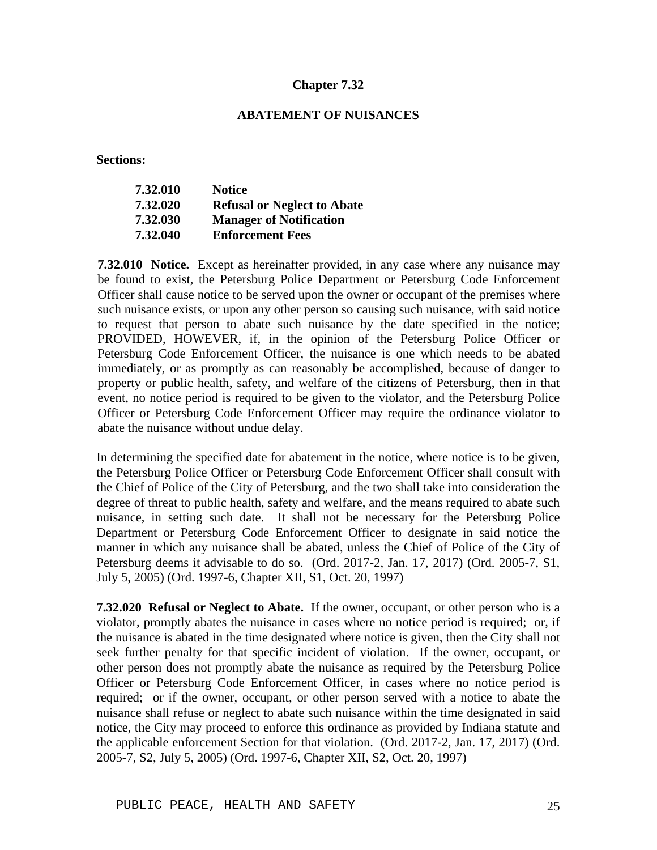### **ABATEMENT OF NUISANCES**

**Sections:**

| 7.32.010 | <b>Notice</b>                      |
|----------|------------------------------------|
| 7.32.020 | <b>Refusal or Neglect to Abate</b> |
| 7.32.030 | <b>Manager of Notification</b>     |
| 7.32.040 | <b>Enforcement Fees</b>            |

**7.32.010 Notice.** Except as hereinafter provided, in any case where any nuisance may be found to exist, the Petersburg Police Department or Petersburg Code Enforcement Officer shall cause notice to be served upon the owner or occupant of the premises where such nuisance exists, or upon any other person so causing such nuisance, with said notice to request that person to abate such nuisance by the date specified in the notice; PROVIDED, HOWEVER, if, in the opinion of the Petersburg Police Officer or Petersburg Code Enforcement Officer, the nuisance is one which needs to be abated immediately, or as promptly as can reasonably be accomplished, because of danger to property or public health, safety, and welfare of the citizens of Petersburg, then in that event, no notice period is required to be given to the violator, and the Petersburg Police Officer or Petersburg Code Enforcement Officer may require the ordinance violator to abate the nuisance without undue delay.

In determining the specified date for abatement in the notice, where notice is to be given, the Petersburg Police Officer or Petersburg Code Enforcement Officer shall consult with the Chief of Police of the City of Petersburg, and the two shall take into consideration the degree of threat to public health, safety and welfare, and the means required to abate such nuisance, in setting such date. It shall not be necessary for the Petersburg Police Department or Petersburg Code Enforcement Officer to designate in said notice the manner in which any nuisance shall be abated, unless the Chief of Police of the City of Petersburg deems it advisable to do so. (Ord. 2017-2, Jan. 17, 2017) (Ord. 2005-7, S1, July 5, 2005) (Ord. 1997-6, Chapter XII, S1, Oct. 20, 1997)

**7.32.020 Refusal or Neglect to Abate.** If the owner, occupant, or other person who is a violator, promptly abates the nuisance in cases where no notice period is required; or, if the nuisance is abated in the time designated where notice is given, then the City shall not seek further penalty for that specific incident of violation. If the owner, occupant, or other person does not promptly abate the nuisance as required by the Petersburg Police Officer or Petersburg Code Enforcement Officer, in cases where no notice period is required; or if the owner, occupant, or other person served with a notice to abate the nuisance shall refuse or neglect to abate such nuisance within the time designated in said notice, the City may proceed to enforce this ordinance as provided by Indiana statute and the applicable enforcement Section for that violation. (Ord. 2017-2, Jan. 17, 2017) (Ord. 2005-7, S2, July 5, 2005) (Ord. 1997-6, Chapter XII, S2, Oct. 20, 1997)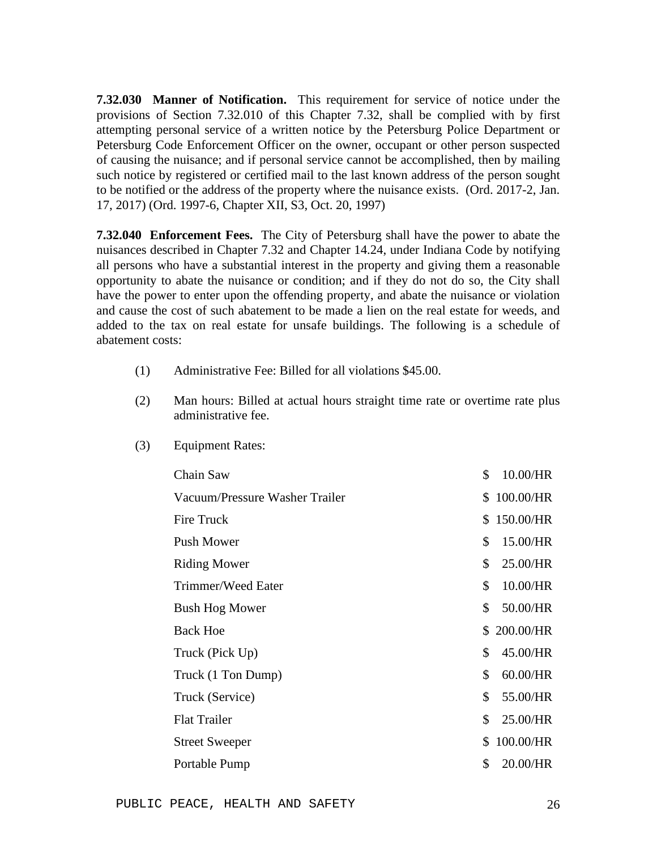**7.32.030 Manner of Notification.** This requirement for service of notice under the provisions of Section 7.32.010 of this Chapter 7.32, shall be complied with by first attempting personal service of a written notice by the Petersburg Police Department or Petersburg Code Enforcement Officer on the owner, occupant or other person suspected of causing the nuisance; and if personal service cannot be accomplished, then by mailing such notice by registered or certified mail to the last known address of the person sought to be notified or the address of the property where the nuisance exists. (Ord. 2017-2, Jan. 17, 2017) (Ord. 1997-6, Chapter XII, S3, Oct. 20, 1997)

**7.32.040 Enforcement Fees.** The City of Petersburg shall have the power to abate the nuisances described in Chapter 7.32 and Chapter 14.24, under Indiana Code by notifying all persons who have a substantial interest in the property and giving them a reasonable opportunity to abate the nuisance or condition; and if they do not do so, the City shall have the power to enter upon the offending property, and abate the nuisance or violation and cause the cost of such abatement to be made a lien on the real estate for weeds, and added to the tax on real estate for unsafe buildings. The following is a schedule of abatement costs:

- (1) Administrative Fee: Billed for all violations \$45.00.
- (2) Man hours: Billed at actual hours straight time rate or overtime rate plus administrative fee.

| Chain Saw                      | \$ | 10.00/HR  |
|--------------------------------|----|-----------|
| Vacuum/Pressure Washer Trailer | \$ | 100.00/HR |
| <b>Fire Truck</b>              | S. | 150.00/HR |
| Push Mower                     | \$ | 15.00/HR  |
| <b>Riding Mower</b>            | \$ | 25.00/HR  |
| Trimmer/Weed Eater             | \$ | 10.00/HR  |
| <b>Bush Hog Mower</b>          | \$ | 50.00/HR  |
| <b>Back Hoe</b>                | S. | 200.00/HR |
| Truck (Pick Up)                | \$ | 45.00/HR  |
| Truck (1 Ton Dump)             | \$ | 60.00/HR  |
| Truck (Service)                | \$ | 55.00/HR  |
| <b>Flat Trailer</b>            | \$ | 25.00/HR  |
| <b>Street Sweeper</b>          | \$ | 100.00/HR |
| Portable Pump                  | \$ | 20.00/HR  |

(3) Equipment Rates: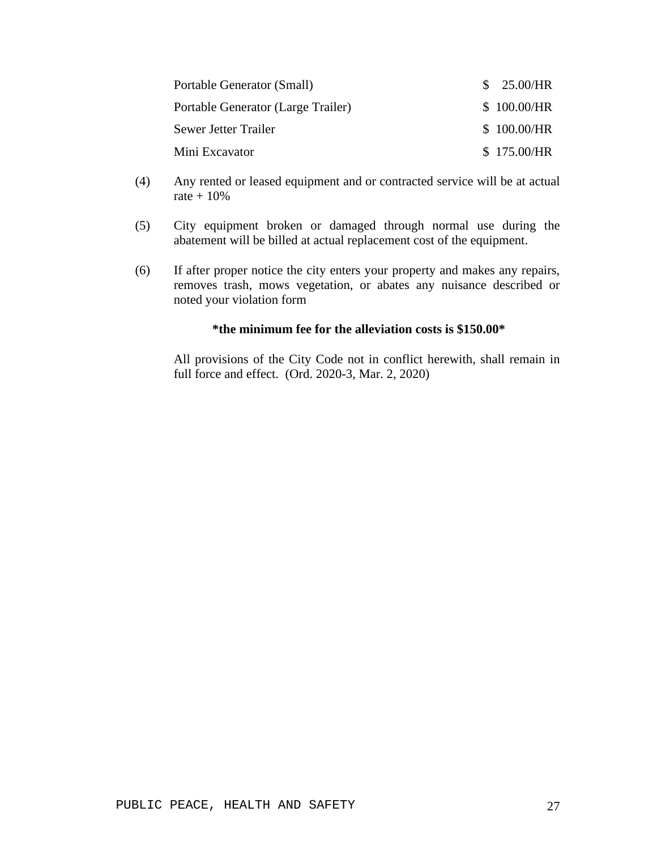| Portable Generator (Small)         | \$25.00/HR  |
|------------------------------------|-------------|
| Portable Generator (Large Trailer) | \$100.00/HR |
| Sewer Jetter Trailer               | \$100.00/HR |
| Mini Excavator                     | \$175.00/HR |

- (4) Any rented or leased equipment and or contracted service will be at actual rate  $+10%$
- (5) City equipment broken or damaged through normal use during the abatement will be billed at actual replacement cost of the equipment.
- (6) If after proper notice the city enters your property and makes any repairs, removes trash, mows vegetation, or abates any nuisance described or noted your violation form

#### **\*the minimum fee for the alleviation costs is \$150.00\***

All provisions of the City Code not in conflict herewith, shall remain in full force and effect. (Ord. 2020-3, Mar. 2, 2020)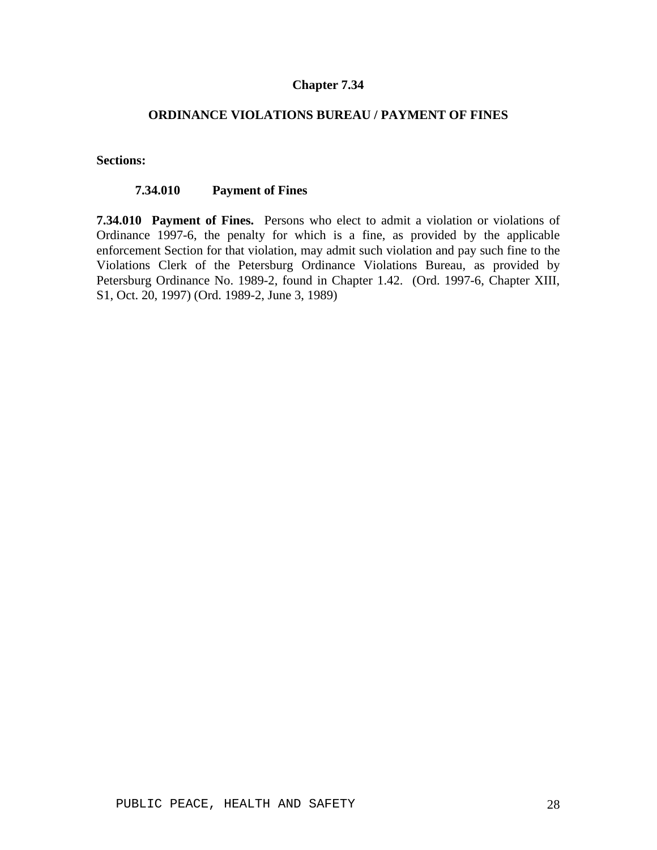## **ORDINANCE VIOLATIONS BUREAU / PAYMENT OF FINES**

#### **Sections:**

#### **7.34.010 Payment of Fines**

**7.34.010 Payment of Fines.** Persons who elect to admit a violation or violations of Ordinance 1997-6, the penalty for which is a fine, as provided by the applicable enforcement Section for that violation, may admit such violation and pay such fine to the Violations Clerk of the Petersburg Ordinance Violations Bureau, as provided by Petersburg Ordinance No. 1989-2, found in Chapter 1.42. (Ord. 1997-6, Chapter XIII, S1, Oct. 20, 1997) (Ord. 1989-2, June 3, 1989)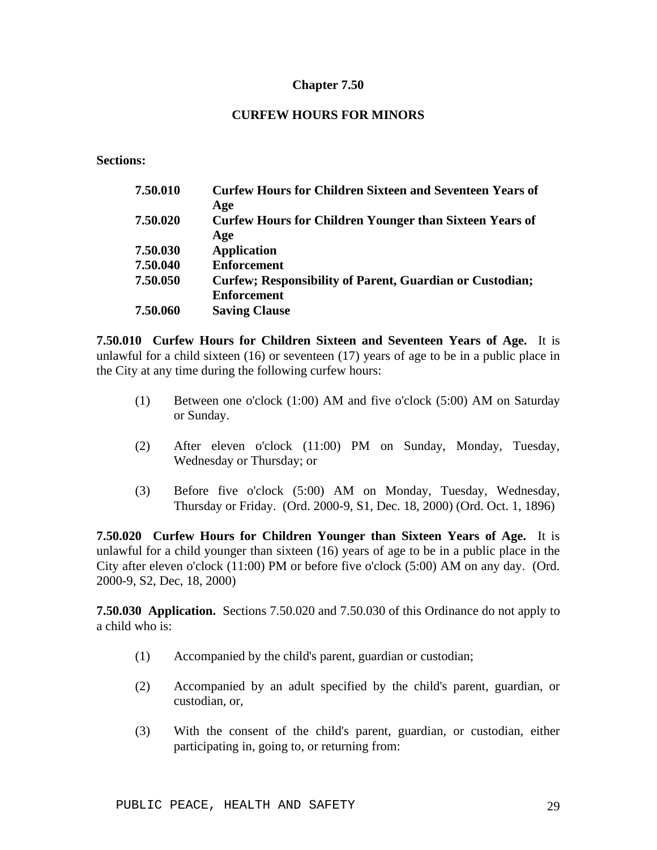## **CURFEW HOURS FOR MINORS**

**Sections:**

| 7.50.010 | <b>Curfew Hours for Children Sixteen and Seventeen Years of</b>  |
|----------|------------------------------------------------------------------|
|          | Age                                                              |
| 7.50.020 | <b>Curfew Hours for Children Younger than Sixteen Years of</b>   |
|          | Age                                                              |
| 7.50.030 | <b>Application</b>                                               |
| 7.50.040 | <b>Enforcement</b>                                               |
| 7.50.050 | <b>Curfew</b> ; Responsibility of Parent, Guardian or Custodian; |
|          | <b>Enforcement</b>                                               |
| 7.50.060 | <b>Saving Clause</b>                                             |

**7.50.010 Curfew Hours for Children Sixteen and Seventeen Years of Age.** It is unlawful for a child sixteen (16) or seventeen (17) years of age to be in a public place in the City at any time during the following curfew hours:

- (1) Between one o'clock (1:00) AM and five o'clock (5:00) AM on Saturday or Sunday.
- (2) After eleven o'clock (11:00) PM on Sunday, Monday, Tuesday, Wednesday or Thursday; or
- (3) Before five o'clock (5:00) AM on Monday, Tuesday, Wednesday, Thursday or Friday. (Ord. 2000-9, S1, Dec. 18, 2000) (Ord. Oct. 1, 1896)

**7.50.020 Curfew Hours for Children Younger than Sixteen Years of Age.** It is unlawful for a child younger than sixteen (16) years of age to be in a public place in the City after eleven o'clock (11:00) PM or before five o'clock (5:00) AM on any day. (Ord. 2000-9, S2, Dec, 18, 2000)

**7.50.030 Application.** Sections 7.50.020 and 7.50.030 of this Ordinance do not apply to a child who is:

- (1) Accompanied by the child's parent, guardian or custodian;
- (2) Accompanied by an adult specified by the child's parent, guardian, or custodian, or,
- (3) With the consent of the child's parent, guardian, or custodian, either participating in, going to, or returning from: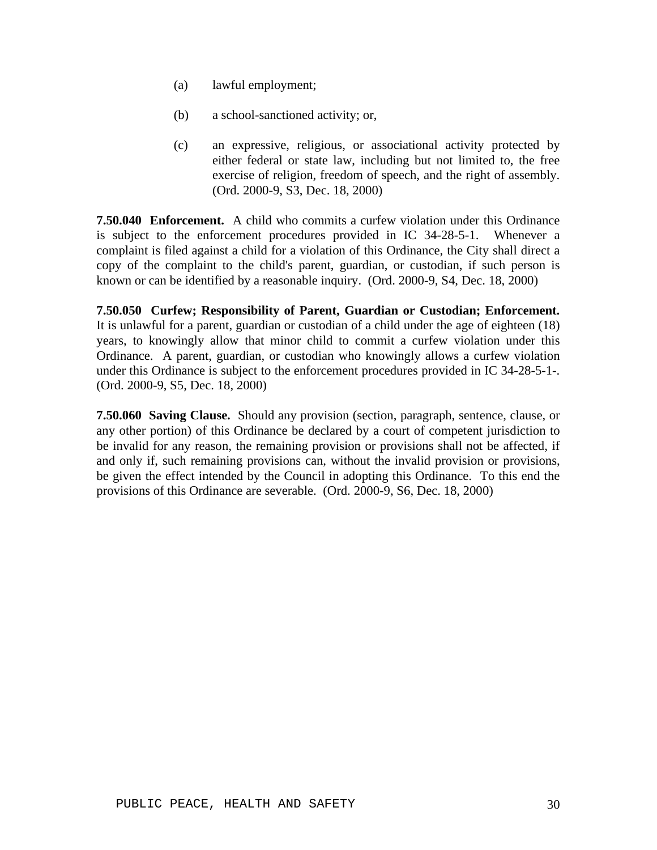- (a) lawful employment;
- (b) a school-sanctioned activity; or,
- (c) an expressive, religious, or associational activity protected by either federal or state law, including but not limited to, the free exercise of religion, freedom of speech, and the right of assembly. (Ord. 2000-9, S3, Dec. 18, 2000)

**7.50.040 Enforcement.** A child who commits a curfew violation under this Ordinance is subject to the enforcement procedures provided in IC 34-28-5-1. Whenever a complaint is filed against a child for a violation of this Ordinance, the City shall direct a copy of the complaint to the child's parent, guardian, or custodian, if such person is known or can be identified by a reasonable inquiry. (Ord. 2000-9, S4, Dec. 18, 2000)

**7.50.050 Curfew; Responsibility of Parent, Guardian or Custodian; Enforcement.**  It is unlawful for a parent, guardian or custodian of a child under the age of eighteen (18) years, to knowingly allow that minor child to commit a curfew violation under this Ordinance. A parent, guardian, or custodian who knowingly allows a curfew violation under this Ordinance is subject to the enforcement procedures provided in IC 34-28-5-1-. (Ord. 2000-9, S5, Dec. 18, 2000)

**7.50.060 Saving Clause.** Should any provision (section, paragraph, sentence, clause, or any other portion) of this Ordinance be declared by a court of competent jurisdiction to be invalid for any reason, the remaining provision or provisions shall not be affected, if and only if, such remaining provisions can, without the invalid provision or provisions, be given the effect intended by the Council in adopting this Ordinance. To this end the provisions of this Ordinance are severable. (Ord. 2000-9, S6, Dec. 18, 2000)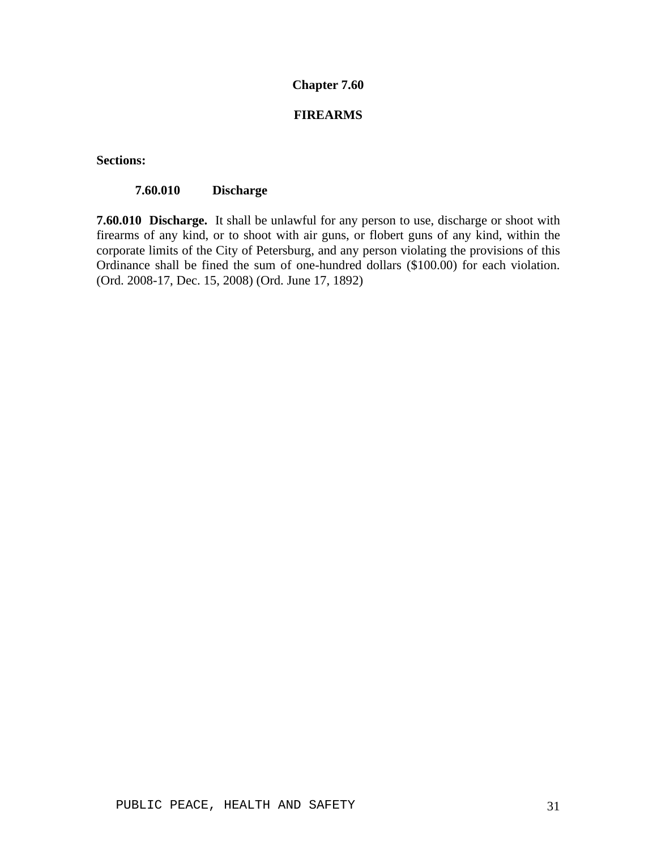## **FIREARMS**

**Sections:**

#### **7.60.010 Discharge**

**7.60.010 Discharge.** It shall be unlawful for any person to use, discharge or shoot with firearms of any kind, or to shoot with air guns, or flobert guns of any kind, within the corporate limits of the City of Petersburg, and any person violating the provisions of this Ordinance shall be fined the sum of one-hundred dollars (\$100.00) for each violation. (Ord. 2008-17, Dec. 15, 2008) (Ord. June 17, 1892)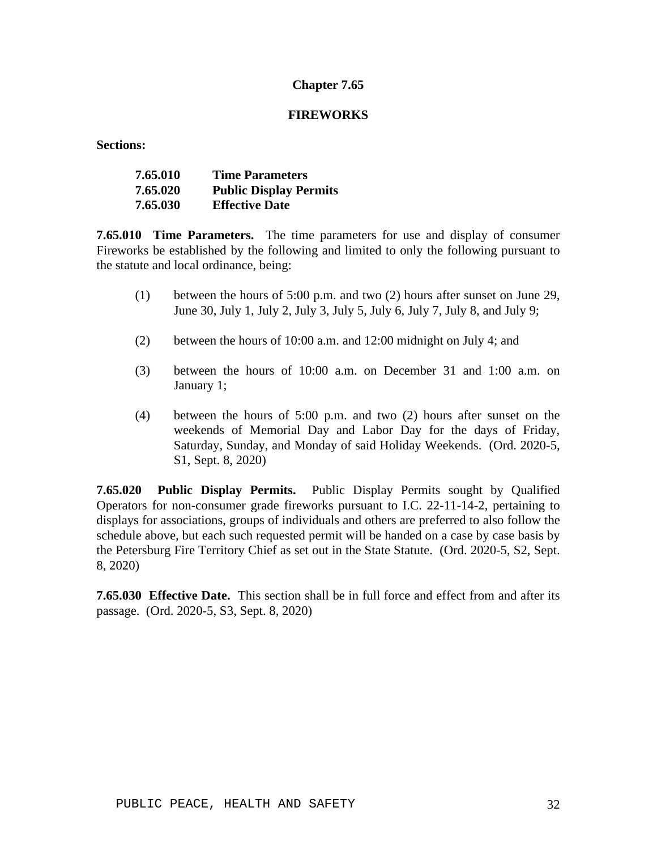### **FIREWORKS**

**Sections:**

| 7.65.010 | <b>Time Parameters</b>        |
|----------|-------------------------------|
| 7.65.020 | <b>Public Display Permits</b> |
| 7.65.030 | <b>Effective Date</b>         |

**7.65.010 Time Parameters.** The time parameters for use and display of consumer Fireworks be established by the following and limited to only the following pursuant to the statute and local ordinance, being:

- (1) between the hours of 5:00 p.m. and two (2) hours after sunset on June 29, June 30, July 1, July 2, July 3, July 5, July 6, July 7, July 8, and July 9;
- (2) between the hours of 10:00 a.m. and 12:00 midnight on July 4; and
- (3) between the hours of 10:00 a.m. on December 31 and 1:00 a.m. on January 1;
- (4) between the hours of 5:00 p.m. and two (2) hours after sunset on the weekends of Memorial Day and Labor Day for the days of Friday, Saturday, Sunday, and Monday of said Holiday Weekends. (Ord. 2020-5, S1, Sept. 8, 2020)

**7.65.020 Public Display Permits.** Public Display Permits sought by Qualified Operators for non-consumer grade fireworks pursuant to I.C. 22-11-14-2, pertaining to displays for associations, groups of individuals and others are preferred to also follow the schedule above, but each such requested permit will be handed on a case by case basis by the Petersburg Fire Territory Chief as set out in the State Statute. (Ord. 2020-5, S2, Sept. 8, 2020)

**7.65.030 Effective Date.** This section shall be in full force and effect from and after its passage. (Ord. 2020-5, S3, Sept. 8, 2020)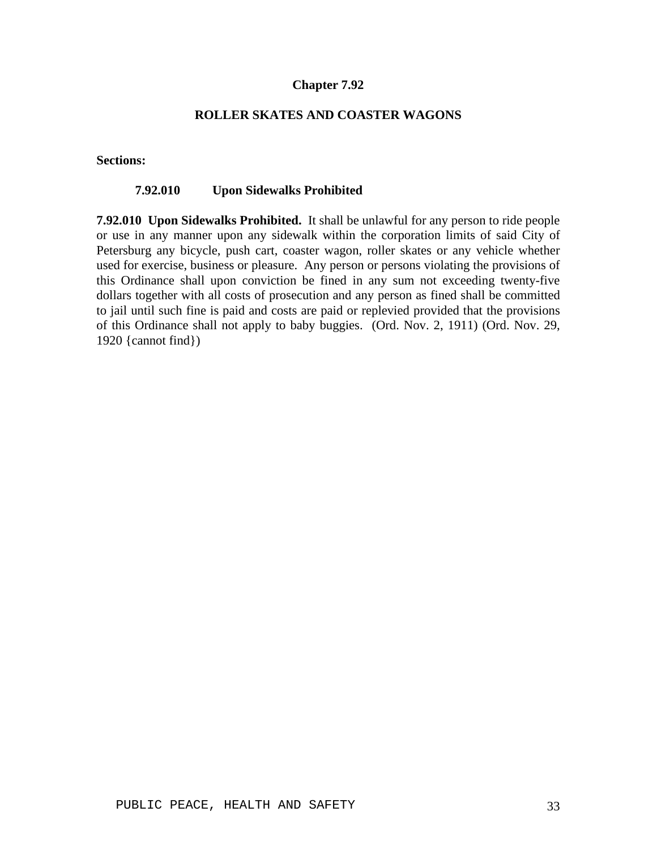## **ROLLER SKATES AND COASTER WAGONS**

#### **Sections:**

### **7.92.010 Upon Sidewalks Prohibited**

**7.92.010 Upon Sidewalks Prohibited.** It shall be unlawful for any person to ride people or use in any manner upon any sidewalk within the corporation limits of said City of Petersburg any bicycle, push cart, coaster wagon, roller skates or any vehicle whether used for exercise, business or pleasure. Any person or persons violating the provisions of this Ordinance shall upon conviction be fined in any sum not exceeding twenty-five dollars together with all costs of prosecution and any person as fined shall be committed to jail until such fine is paid and costs are paid or replevied provided that the provisions of this Ordinance shall not apply to baby buggies. (Ord. Nov. 2, 1911) (Ord. Nov. 29, 1920 {cannot find})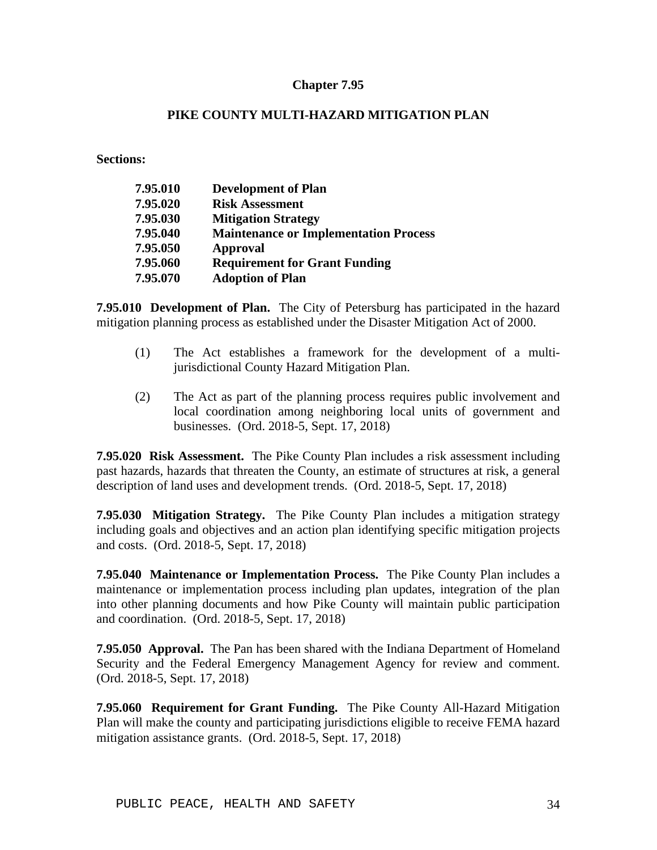## **PIKE COUNTY MULTI-HAZARD MITIGATION PLAN**

**Sections:**

| 7.95.010 | <b>Development of Plan</b>                   |
|----------|----------------------------------------------|
| 7.95.020 | <b>Risk Assessment</b>                       |
| 7.95.030 | <b>Mitigation Strategy</b>                   |
| 7.95.040 | <b>Maintenance or Implementation Process</b> |
| 7.95.050 | <b>Approval</b>                              |
| 7.95.060 | <b>Requirement for Grant Funding</b>         |
| 7.95.070 | <b>Adoption of Plan</b>                      |

**7.95.010 Development of Plan.** The City of Petersburg has participated in the hazard mitigation planning process as established under the Disaster Mitigation Act of 2000.

- (1) The Act establishes a framework for the development of a multijurisdictional County Hazard Mitigation Plan.
- (2) The Act as part of the planning process requires public involvement and local coordination among neighboring local units of government and businesses. (Ord. 2018-5, Sept. 17, 2018)

**7.95.020 Risk Assessment.** The Pike County Plan includes a risk assessment including past hazards, hazards that threaten the County, an estimate of structures at risk, a general description of land uses and development trends. (Ord. 2018-5, Sept. 17, 2018)

**7.95.030 Mitigation Strategy.** The Pike County Plan includes a mitigation strategy including goals and objectives and an action plan identifying specific mitigation projects and costs. (Ord. 2018-5, Sept. 17, 2018)

**7.95.040 Maintenance or Implementation Process.** The Pike County Plan includes a maintenance or implementation process including plan updates, integration of the plan into other planning documents and how Pike County will maintain public participation and coordination. (Ord. 2018-5, Sept. 17, 2018)

**7.95.050 Approval.** The Pan has been shared with the Indiana Department of Homeland Security and the Federal Emergency Management Agency for review and comment. (Ord. 2018-5, Sept. 17, 2018)

**7.95.060 Requirement for Grant Funding.** The Pike County All-Hazard Mitigation Plan will make the county and participating jurisdictions eligible to receive FEMA hazard mitigation assistance grants. (Ord. 2018-5, Sept. 17, 2018)